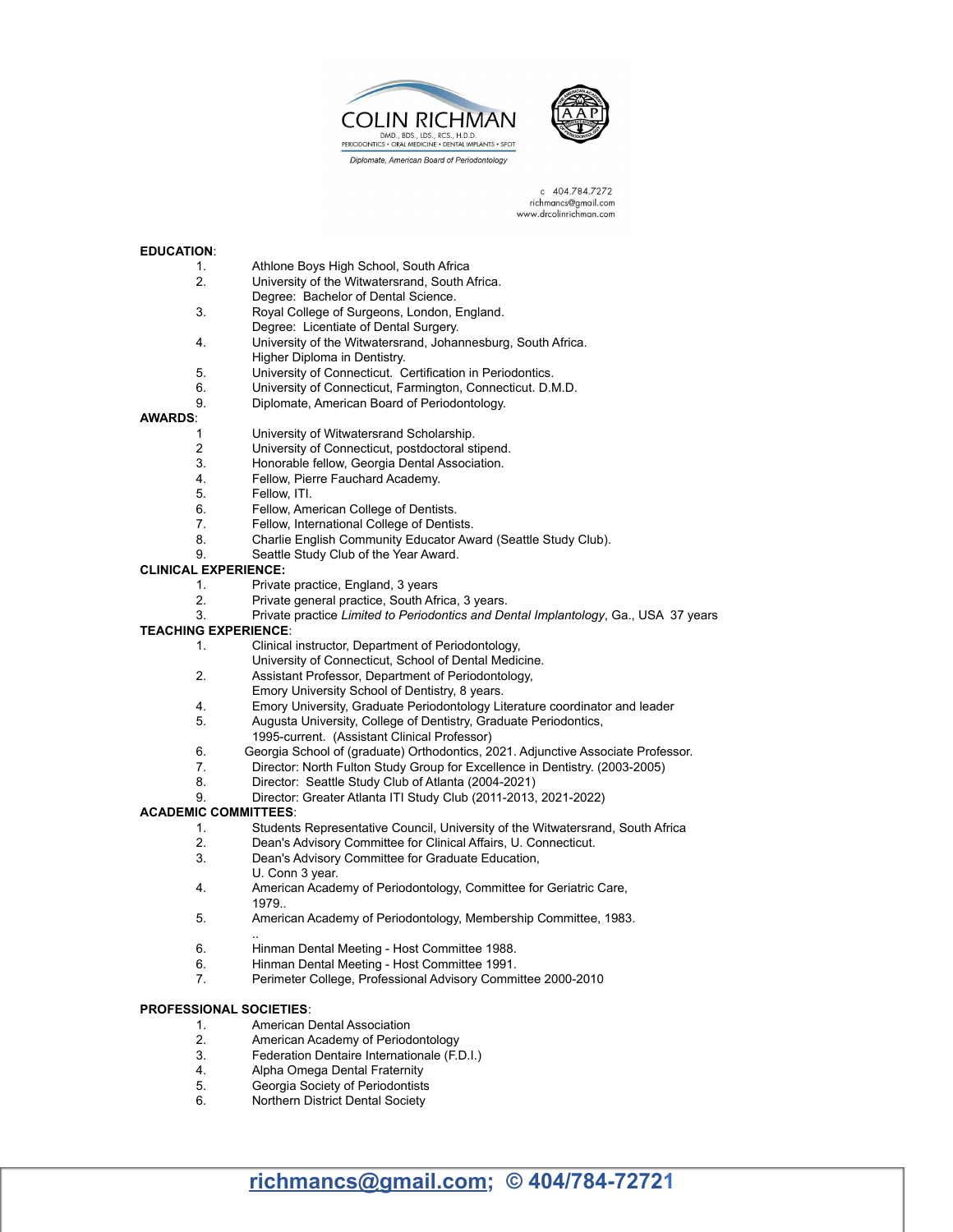



c 404.784.7272 richmancs@gmail.com www.drcolinrichman.com

### **EDUCATION**:

- 1. Athlone Boys High School, South Africa<br>2. University of the Witwatersrand. South A
- 2. University of the Witwatersrand, South Africa.
- Degree: Bachelor of Dental Science.
- 3. Royal College of Surgeons, London, England.
- Degree: Licentiate of Dental Surgery.
- 4. University of the Witwatersrand, Johannesburg, South Africa. Higher Diploma in Dentistry.
- 5. University of Connecticut. Certification in Periodontics.
- 6. University of Connecticut, Farmington, Connecticut. D.M.D.
- 9. Diplomate, American Board of Periodontology.

## **AWARDS**:

- 1 University of Witwatersrand Scholarship.
- 2 University of Connecticut, postdoctoral stipend.
- 3. Honorable fellow, Georgia Dental Association.
- 4. Fellow, Pierre Fauchard Academy.<br>5. Fellow. ITI.
- Fellow, ITI.
- 6. Fellow, American College of Dentists.
- 7. Fellow, International College of Dentists.<br>8. Charlie English Community Educator Aw.
- Charlie English Community Educator Award (Seattle Study Club).
- 9. Seattle Study Club of the Year Award.

#### **CLINICAL EXPERIENCE:**

- 1. Private practice, England, 3 years
- 2. Private general practice, South Africa, 3 years.
- 3. Private practice *Limited to Periodontics and Dental Implantology*, Ga., USA 37 years

### **TEACHING EXPERIENCE**:

- 1. Clinical instructor, Department of Periodontology,
- University of Connecticut, School of Dental Medicine.
- 2. Assistant Professor, Department of Periodontology,
	- Emory University School of Dentistry, 8 years.
- 4. Emory University, Graduate Periodontology Literature coordinator and leader
- 5. Augusta University, College of Dentistry, Graduate Periodontics, 1995-current. (Assistant Clinical Professor)
- 6. Georgia School of (graduate) Orthodontics, 2021. Adjunctive Associate Professor.
- 7. Director: North Fulton Study Group for Excellence in Dentistry. (2003-2005)
- Director: Seattle Study Club of Atlanta (2004-2021)
- 9. Director: Greater Atlanta ITI Study Club (2011-2013, 2021-2022)

### **ACADEMIC COMMITTEES**:

- 1. Students Representative Council, University of the Witwatersrand, South Africa
- 2. Dean's Advisory Committee for Clinical Affairs, U. Connecticut.
- 3. Dean's Advisory Committee for Graduate Education,
- U. Conn 3 year.
- 4. American Academy of Periodontology, Committee for Geriatric Care, 1979..
- 5. American Academy of Periodontology, Membership Committee, 1983.
- .. 6. Hinman Dental Meeting - Host Committee 1988.
- 
- 6. Hinman Dental Meeting Host Committee 1991. 7. Perimeter College, Professional Advisory Committee 2000-2010

### **PROFESSIONAL SOCIETIES**:

- 1. American Dental Association
- 2. American Academy of Periodontology
- 3. Federation Dentaire Internationale (F.D.I.)
- 4. Alpha Omega Dental Fraternity<br>5. Georgia Society of Periodontists
- 5. Georgia Society of Periodontists
- 6. Northern District Dental Society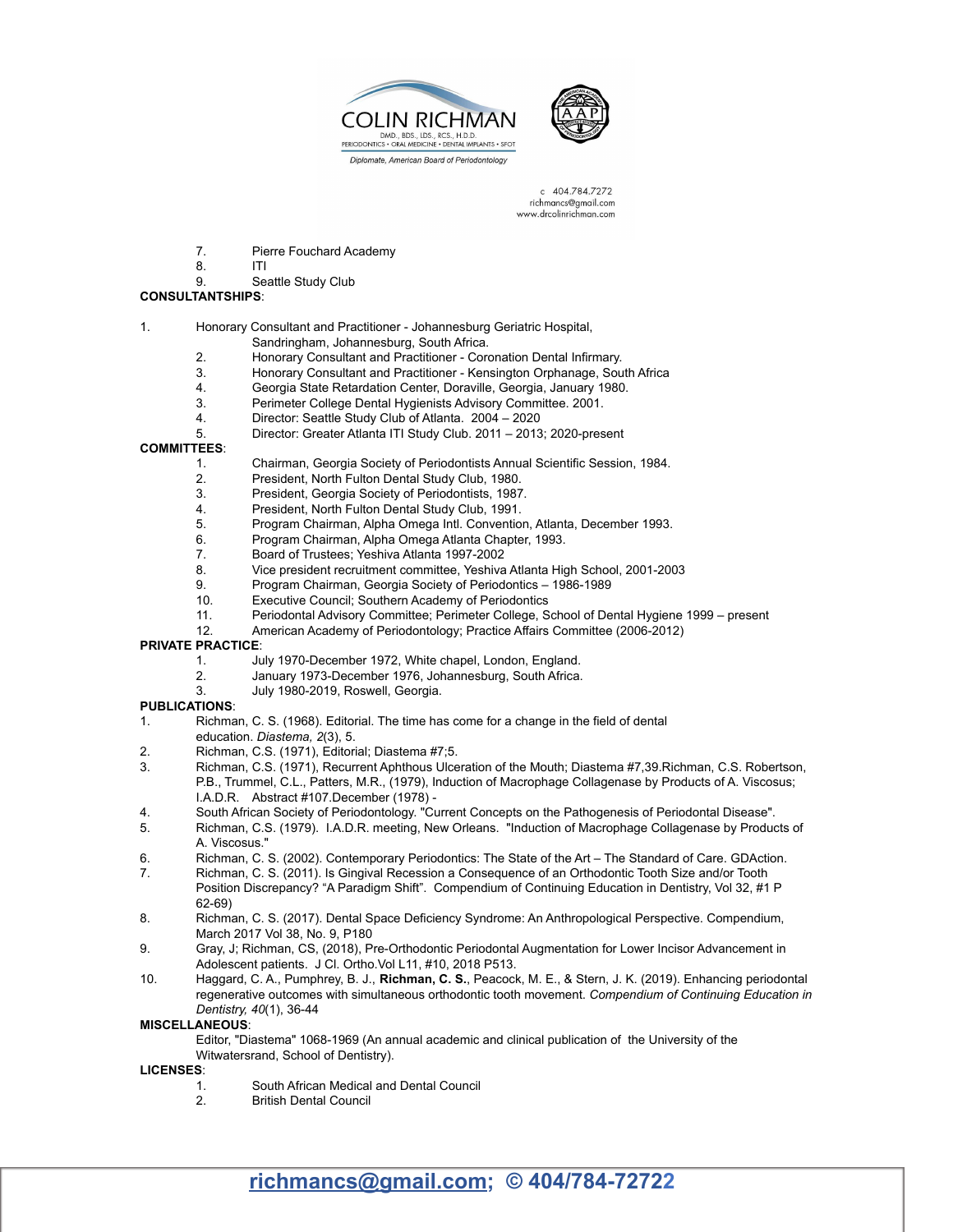



c 404.784.7272 richmancs@gmail.com www.drcolinrichman.com

- 7. Pierre Fouchard Academy
- 8. ITI<br>9. Se

## Seattle Study Club

# **CONSULTANTSHIPS**:

## 1. Honorary Consultant and Practitioner - Johannesburg Geriatric Hospital,

- Sandringham, Johannesburg, South Africa.
- 2. Honorary Consultant and Practitioner Coronation Dental Infirmary.
- 3. Honorary Consultant and Practitioner Kensington Orphanage, South Africa
- 4. Georgia State Retardation Center, Doraville, Georgia, January 1980.<br>3. Perimeter College Dental Hygienists Advisory Committee. 2001.
- 3. Perimeter College Dental Hygienists Advisory Committee. 2001.
- 4. Director: Seattle Study Club of Atlanta. 2004 2020
- 5. Director: Greater Atlanta ITI Study Club. 2011 2013; 2020-present

### **COMMITTEES**:

- 1. Chairman, Georgia Society of Periodontists Annual Scientific Session, 1984.
- 2. President, North Fulton Dental Study Club, 1980.
- 3. President, Georgia Society of Periodontists, 1987.
- 4. President, North Fulton Dental Study Club, 1991.
- 5. Program Chairman, Alpha Omega Intl. Convention, Atlanta, December 1993.<br>6. Program Chairman. Alpha Omega Atlanta Chapter. 1993.
- 6. Program Chairman, Alpha Omega Atlanta Chapter, 1993.<br>7. Board of Trustees: Yeshiya Atlanta 1997-2002
- 7. Board of Trustees; Yeshiva Atlanta 1997-2002
- 8. Vice president recruitment committee, Yeshiva Atlanta High School, 2001-2003
- 9. Program Chairman, Georgia Society of Periodontics 1986-1989<br>10. Executive Council: Southern Academy of Periodontics
- Executive Council; Southern Academy of Periodontics
- 11. Periodontal Advisory Committee; Perimeter College, School of Dental Hygiene 1999 present
- 12. American Academy of Periodontology; Practice Affairs Committee (2006-2012)

### **PRIVATE PRACTICE**:

- 1. July 1970-December 1972, White chapel, London, England.
- 2. January 1973-December 1976, Johannesburg, South Africa.
- July 1980-2019, Roswell, Georgia.

### **PUBLICATIONS**:

- 1. Richman, C. S. (1968). Editorial. The time has come for a change in the field of dental education. *Diastema, 2*(3), 5.
- 2. Richman, C.S. (1971), Editorial; Diastema #7;5.
- 3. Richman, C.S. (1971), Recurrent Aphthous Ulceration of the Mouth; Diastema #7,39.Richman, C.S. Robertson, P.B., Trummel, C.L., Patters, M.R., (1979), Induction of Macrophage Collagenase by Products of A. Viscosus; I.A.D.R. Abstract #107.December (1978) -
- 4. South African Society of Periodontology. "Current Concepts on the Pathogenesis of Periodontal Disease".
- 5. Richman, C.S. (1979). I.A.D.R. meeting, New Orleans. "Induction of Macrophage Collagenase by Products of A. Viscosus."
- 6. Richman, C. S. (2002). Contemporary Periodontics: The State of the Art The Standard of Care. GDAction.
- 7. Richman, C. S. (2011). Is Gingival Recession a Consequence of an Orthodontic Tooth Size and/or Tooth Position Discrepancy? "A Paradigm Shift". Compendium of Continuing Education in Dentistry, Vol 32, #1 P 62-69)
- 8. Richman, C. S. (2017). Dental Space Deficiency Syndrome: An Anthropological Perspective. Compendium, March 2017 Vol 38, No. 9, P180
- 9. Gray, J; Richman, CS, (2018), Pre-Orthodontic Periodontal Augmentation for Lower Incisor Advancement in Adolescent patients. J Cl. Ortho.Vol L11, #10, 2018 P513.
- 10. Haggard, C. A., Pumphrey, B. J., **Richman, C. S.**, Peacock, M. E., & Stern, J. K. (2019). Enhancing periodontal regenerative outcomes with simultaneous orthodontic tooth movement. *Compendium of Continuing Education in Dentistry, 40*(1), 36-44

**MISCELLANEOUS**:

Editor, "Diastema" 1068-1969 (An annual academic and clinical publication of the University of the Witwatersrand, School of Dentistry).

**LICENSES**:

- 1. South African Medical and Dental Council
- 2. British Dental Council